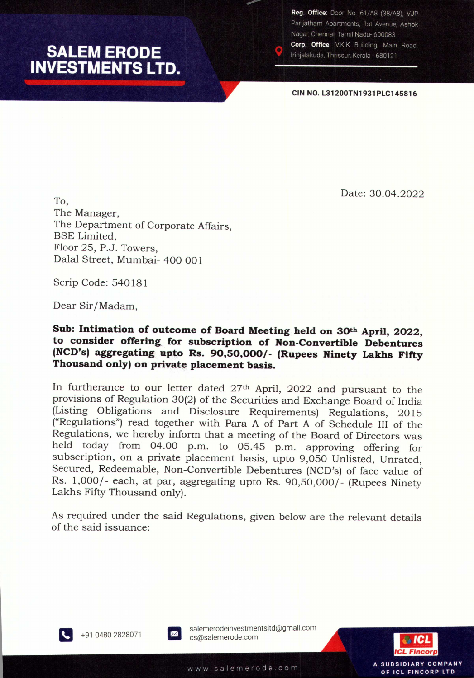# **SALEM ERODE INVESTMENTS LTD.**

Reg. Office: Door No. 61/A8 (38/A8). VJP Parijatham Apartments, 1st Avenue, Ashok Nagar, Chennai, Tamil Nadu- 600083 Corp. Office: V.K.K Building, Main Road, Irinjalakuda, Thrissur, Kerala - 680121

**CIN** NO. **L31200TN1931PLC145816**

Date: 30.04.2022

To, The Manager, The Department of Corporate Affairs, BSE Limited, Floor 25, P.J. Towers, Dalal Street, Mumbai- 400 001

Scrip Code: 540181

Dear Sir/Madam,

# **Sub: Intimation of outcome of Board Meeting held on 30th April, 2022, to consider offering. for subscription of Non-Convertible Debentures (NCD's) aggregating** upto **Rs. 90,50,000/- (Rupees Ninety Lakhs Fifty Thousand only) on** prfvate **placement basis.**

In furtherance to our letter dated 27<sup>th</sup> April, 2022 and pursuant to the provisions of Regulation 30(2) of the Securities and Exchange Board of India (Listing Obligations and Disclosure Requirements) Regulations, 2015 ("Regulations") read together with Para A of Part A of Schedule III of the Regulations, we hereby inform that a meeting of the Board of Directors was held today from 04.00 p.m. to 05.45 p.m. approving offering for subscription, on a private placement basis, upto 9,050 Unlisted, Unrated, Secured, Redeemable, Non-Convertible Debentures (NCD's) of face value of Rs. 1,000/- each, at par, aggregating upto Rs. 90,50,000/- (Rupees Ninety Lakhs Fifty Thousand only).

As required under the said Regulations, given below are the relevant details of the said issuance:



m +9104802828071

salemerodeinvestmentsltd@gmail.com cs@salemerode.com



A SUBSIDIARY COMPANY

OF ICL FINCORP LTD

www.salemerode.com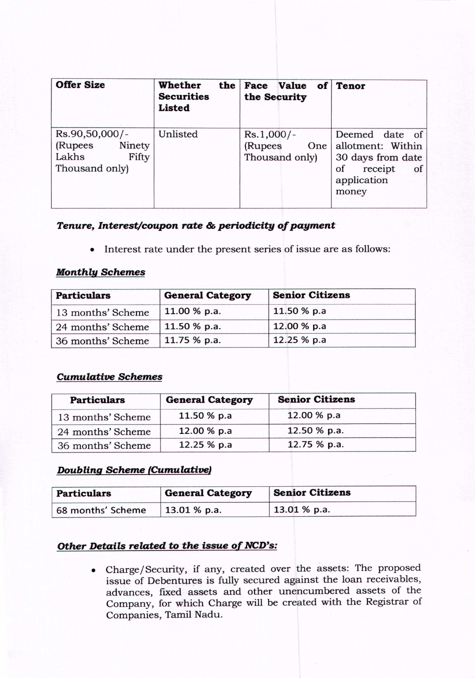| <b>Offer Size</b>                                                       | Whether<br><b>Securities</b><br><b>Listed</b> | the Face Value of Tenor<br>the Security          |                                                                                                         |
|-------------------------------------------------------------------------|-----------------------------------------------|--------------------------------------------------|---------------------------------------------------------------------------------------------------------|
| Rs.90,50,000/-<br>(Rupees<br>Ninety<br>Lakhs<br>Fifty<br>Thousand only) | Unlisted                                      | $Rs.1,000/-$<br>(Rupees<br>One<br>Thousand only) | Deemed date of<br>allotment: Within<br>30 days from date<br>of<br>receipt<br>of<br>application<br>money |

# *Tenure, Interest/coupon rate* **&** *periodicity of payment-*

• Interest rate under the present series of issue are as follows:

#### *Monthly Schemes*

| <b>Particulars</b> | <b>General Category</b> | <b>Senior Citizens</b> |  |
|--------------------|-------------------------|------------------------|--|
| 13 months' Scheme  | 11.00 % p.a.            | 11.50 % p.a            |  |
| 24 months' Scheme  | 11.50 % p.a.            | 12.00 % p.a            |  |
| 36 months' Scheme  | 11.75 % p.a.            | 12.25 % p.a            |  |

# *Cumulative Schemes*

| <b>Particulars</b> | <b>General Category</b> | <b>Senior Citizens</b> |  |
|--------------------|-------------------------|------------------------|--|
| 13 months' Scheme  | 11.50 % p.a             | 12.00 % p.a            |  |
| 24 months' Scheme  | 12.00 % p.a             | 12.50 % p.a.           |  |
| 36 months' Scheme  | 12.25 % p.a             | 12.75 % p.a.           |  |

# *Doubling Scheme (Cumulative}*

| <b>Particulars</b> | <b>General Category</b> | <b>Senior Citizens</b> |  |
|--------------------|-------------------------|------------------------|--|
| 68 months' Scheme  | $13.01%$ p.a.           | $13.01 %$ p.a.         |  |

# *Other Details related to the issue of NCD's:*

• Charge/Security, if any, created over the assets: The proposed issue of Debentures is fully secured against the loan receivables, advances, flxed assets and other unencumbered assets of the Company, for which Charge will be created with the Registrar of Companies, Tamil Nadu.